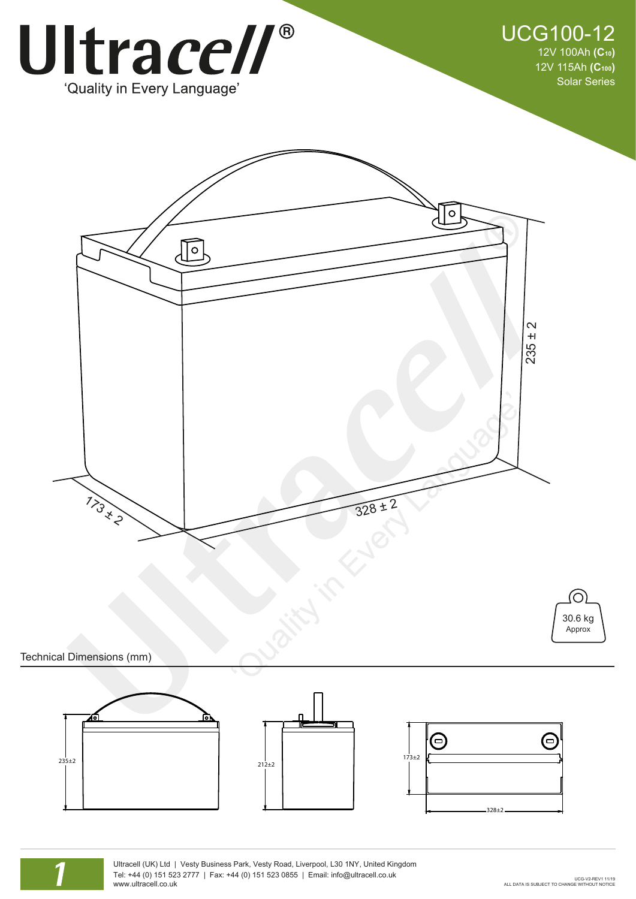



Technical Dimensions (mm)







Ultracell (UK) Ltd | Vesty Business Park, Vesty Road, Liverpool, L30 1NY, United Kingdom Tel: +44 (0) 151 523 2777 | Fax: +44 (0) 151 523 0855 | Email: info@ultracell.co.uk www.ultracell.co.uk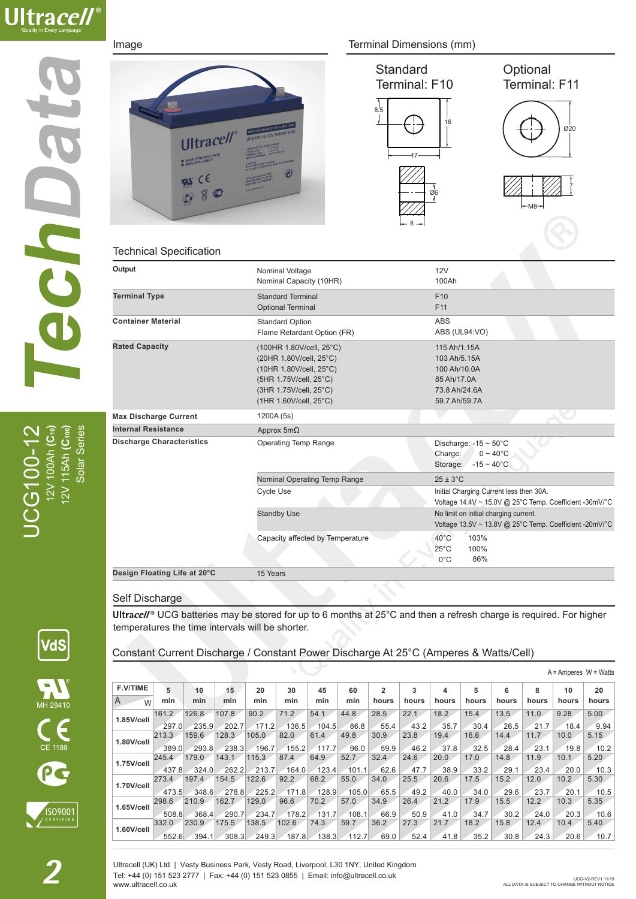

UCG100-12 12V 100Ah **(C10)** 12V 115Ah **(C100)** Solar Series Solar Series  $\mathbb{CG}$ 100-1<br>12V 100Ah (C<br>12V 115Ah (C











### Technical Specification

| Output                           | Nominal Voltage<br>Nominal Capacity (10HR) | 12V<br>100Ah                                            |
|----------------------------------|--------------------------------------------|---------------------------------------------------------|
| <b>Terminal Type</b>             | <b>Standard Terminal</b>                   | F10                                                     |
|                                  | <b>Optional Terminal</b>                   | F11                                                     |
| <b>Container Material</b>        | <b>Standard Option</b>                     | <b>ABS</b>                                              |
|                                  | Flame Retardant Option (FR)                | ABS (UL94:VO)                                           |
| <b>Rated Capacity</b>            | (100HR 1.80V/cell, 25°C)                   | 115 Ah/1.15A                                            |
|                                  | (20HR 1.80V/cell, 25°C)                    | 103 Ah/5.15A                                            |
|                                  | (10HR 1.80V/cell, 25°C)                    | 100 Ah/10.0A                                            |
|                                  | (5HR 1.75V/cell, 25°C)                     | 85 Ah/17.0A                                             |
|                                  | (3HR 1.75V/cell, 25°C)                     | 73.8 Ah/24.6A                                           |
|                                  | (1HR 1.60V/cell, 25°C)                     | 59.7 Ah/59.7A                                           |
| <b>Max Discharge Current</b>     | 1200A (5s)                                 |                                                         |
| <b>Internal Resistance</b>       | Approx $5m\Omega$                          |                                                         |
| <b>Discharge Characteristics</b> | <b>Operating Temp Range</b>                | Discharge: $-15 \sim 50^{\circ}$ C                      |
|                                  |                                            | Charge:<br>$0 \sim 40^{\circ}$ C                        |
|                                  |                                            | Storage:<br>$-15 \sim 40^{\circ}$ C                     |
|                                  | Nominal Operating Temp Range               | $25 \pm 3^{\circ}$ C                                    |
|                                  | <b>Cycle Use</b>                           | Initial Charging Current less then 30A.                 |
|                                  |                                            | Voltage 14.4V ~ 15.0V @ 25°C Temp. Coefficient -30mV/°C |
|                                  | <b>Standby Use</b>                         | No limit on initial charging current.                   |
|                                  |                                            | Voltage 13.5V ~ 13.8V @ 25°C Temp. Coefficient -20mV/°C |
|                                  | Capacity affected by Temperature           | $40^{\circ}$ C<br>103%                                  |
|                                  |                                            | $25^{\circ}$ C<br>100%                                  |
|                                  |                                            | 86%<br>$0^{\circ}$ C                                    |
| Design Floating Life at 20°C     | 15 Years                                   |                                                         |
|                                  |                                            |                                                         |

### Self Discharge

Ultracell<sup>®</sup> UCG batteries may be stored for up to 6 months at 25°C and then a refresh charge is required. For higher temperatures the time intervals will be shorter.

Constant Current Discharge / Constant Power Discharge At 25°C (Amperes & Watts/Cell)

| $^{\circledR}$<br>MH 29410 |  |
|----------------------------|--|
| CE 1188                    |  |
|                            |  |

VdS



| <b>F.V/TIME</b> | 5     | 10    | 15    | 20    | 30    | 45    | 60    | $\overline{2}$ | 3     | 4     | 5     | 6     | 8     | 10    | 20    |
|-----------------|-------|-------|-------|-------|-------|-------|-------|----------------|-------|-------|-------|-------|-------|-------|-------|
| A<br>W          | min   | min   | min   | min   | min   | min   | min   | hours          | hours | hours | hours | hours | hours | hours | hours |
| $1.85$ V/cell   | 161.2 | 126.8 | 107.8 | 90.2  | 71.2  | 54.1  | 44.8  | 28.5           | 22.1  | 18.2  | 15.4  | 13.5  | 11.0  | 9.28  | 5.00  |
|                 | 297.0 | 235.9 | 202.7 | 171.2 | 136.5 | 104.5 | 86.8  | 55.4           | 43.2  | 35.7  | 30.4  | 26.5  | 21.7  | 18.4  | 9.94  |
| 1.80V/cell      | 213.3 | 159.6 | 128.3 | 105.0 | 82.0  | 61.4  | 49.8  | 30.9           | 23.8  | 19.4  | 16.6  | 14.4  | 11.7  | 10.0  | 5.15  |
|                 | 389.0 | 293.8 | 238.3 | 196.7 | 155.2 | 117.7 | 96.0  | 59.9           | 46.2  | 37.8  | 32.5  | 28.4  | 23.1  | 19.8  | 10.2  |
| 1.75V/cell      | 245.4 | 179.0 | 143.1 | 115.3 | 87.4  | 64.9  | 52.7  | 32.4           | 24.6  | 20.0  | 17.0  | 14.8  | 11.9  | 10.1  | 5.20  |
|                 | 437.8 | 324.0 | 262.2 | 213.7 | 164.0 | 123.4 | 101.1 | 62.6           | 47.7  | 38.9  | 33.2  | 29.1  | 23.4  | 20.0  | 10.3  |
| 1.70V/cell      | 273.4 | 197.4 | 154.5 | 122.6 | 92.2  | 68.2  | 55.0  | 34.0           | 25.5  | 20.6  | 17.5  | 15.2  | 12.0  | 10.2  | 5.30  |
|                 | 473.5 | 348.6 | 278.8 | 225.2 | 171.8 | 128.9 | 105.0 | 65.5           | 49.2  | 40.0  | 34.0  | 29.6  | 23.7  | 20.1  | 10.5  |
| $1.65$ V/cell   | 298.6 | 210.9 | 162.7 | 129.0 | 96.6  | 70.2  | 57.0  | 34.9           | 26.4  | 21.2  | 17.9  | 15.5  | 12.2  | 10.3  | 5.35  |
|                 | 508.8 | 368.4 | 290.7 | 234.7 | 178.2 | 131.7 | 108.1 | 66.9           | 50.9  | 41.0  | 34.7  | 30.2  | 24.0  | 20.3  | 10.6  |
| $1.60$ V/cell   | 332.0 | 230.9 | 175.5 | 138.5 | 102.6 | 74.3  | 59.7  | 36.2           | 27.3  | 21.7  | 18.2  | 15.8  | 12.4  | 10.4  | 5.40  |
|                 | 552.6 | 394.1 | 308.3 | 249.3 | 187.8 | 138.3 | 112.7 | 69.0           | 52.4  | 41.8  | 35.2  | 30.8  | 24.3  | 20.6  | 10.7  |
|                 |       |       |       |       |       |       |       |                |       |       |       |       |       |       |       |

Ultracell (UK) Ltd | Vesty Business Park, Vesty Road, Liverpool, L30 1NY, United Kingdom Tel: +44 (0) 151 523 2777 | Fax: +44 (0) 151 523 0855 | Email: info@ultracell.co.uk www.ultracell.co.uk

 $A =$  Amperes  $W =$  Watts